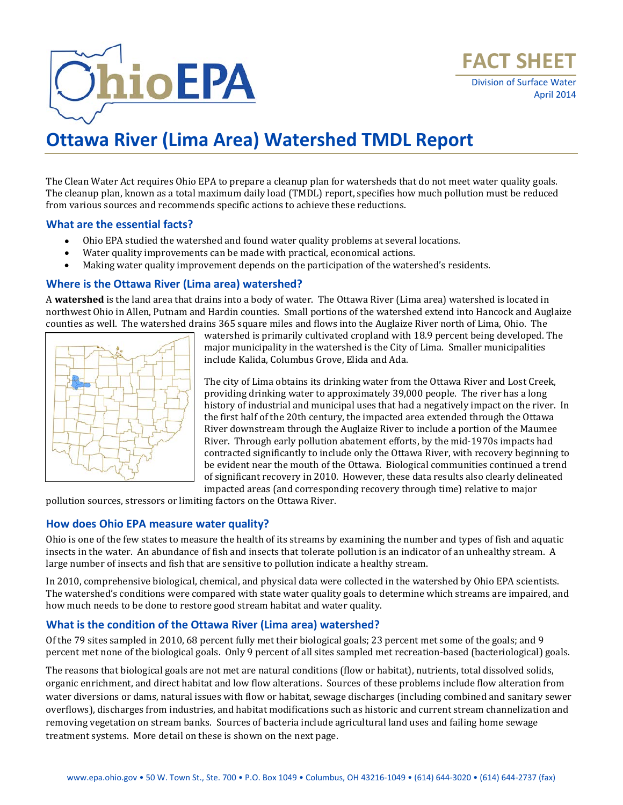

The Clean Water Act requires Ohio EPA to prepare a cleanup plan for watersheds that do not meet water quality goals. The cleanup plan, known as a total maximum daily load (TMDL) report, specifies how much pollution must be reduced from various sources and recommends specific actions to achieve these reductions.

# **What are the essential facts?**

- Ohio EPA studied the watershed and found water quality problems at several locations.
- Water quality improvements can be made with practical, economical actions.
- Making water quality improvement depends on the participation of the watershed's residents.

# **Where is the Ottawa River (Lima area) watershed?**

A **watershed** is the land area that drains into a body of water. The Ottawa River (Lima area) watershed is located in northwest Ohio in Allen, Putnam and Hardin counties. Small portions of the watershed extend into Hancock and Auglaize counties as well. The watershed drains 365 square miles and flows into the Auglaize River north of Lima, Ohio. The



watershed is primarily cultivated cropland with 18.9 percent being developed. The major municipality in the watershed is the City of Lima. Smaller municipalities include Kalida, Columbus Grove, Elida and Ada.

The city of Lima obtains its drinking water from the Ottawa River and Lost Creek, providing drinking water to approximately 39,000 people. The river has a long history of industrial and municipal uses that had a negatively impact on the river. In the first half of the 20th century, the impacted area extended through the Ottawa River downstream through the Auglaize River to include a portion of the Maumee River. Through early pollution abatement efforts, by the mid-1970s impacts had contracted significantly to include only the Ottawa River, with recovery beginning to be evident near the mouth of the Ottawa. Biological communities continued a trend of significant recovery in 2010. However, these data results also clearly delineated impacted areas (and corresponding recovery through time) relative to major

pollution sources, stressors or limiting factors on the Ottawa River.

# **How does Ohio EPA measure water quality?**

Ohio is one of the few states to measure the health of its streams by examining the number and types of fish and aquatic insects in the water. An abundance of fish and insects that tolerate pollution is an indicator of an unhealthy stream. A large number of insects and fish that are sensitive to pollution indicate a healthy stream.

In 2010, comprehensive biological, chemical, and physical data were collected in the watershed by Ohio EPA scientists. The watershed's conditions were compared with state water quality goals to determine which streams are impaired, and how much needs to be done to restore good stream habitat and water quality.

# **What is the condition of the Ottawa River (Lima area) watershed?**

Of the 79 sites sampled in 2010, 68 percent fully met their biological goals; 23 percent met some of the goals; and 9 percent met none of the biological goals. Only 9 percent of all sites sampled met recreation-based (bacteriological) goals.

The reasons that biological goals are not met are natural conditions (flow or habitat), nutrients, total dissolved solids, organic enrichment, and direct habitat and low flow alterations. Sources of these problems include flow alteration from water diversions or dams, natural issues with flow or habitat, sewage discharges (including combined and sanitary sewer overflows), discharges from industries, and habitat modifications such as historic and current stream channelization and removing vegetation on stream banks. Sources of bacteria include agricultural land uses and failing home sewage treatment systems. More detail on these is shown on the next page.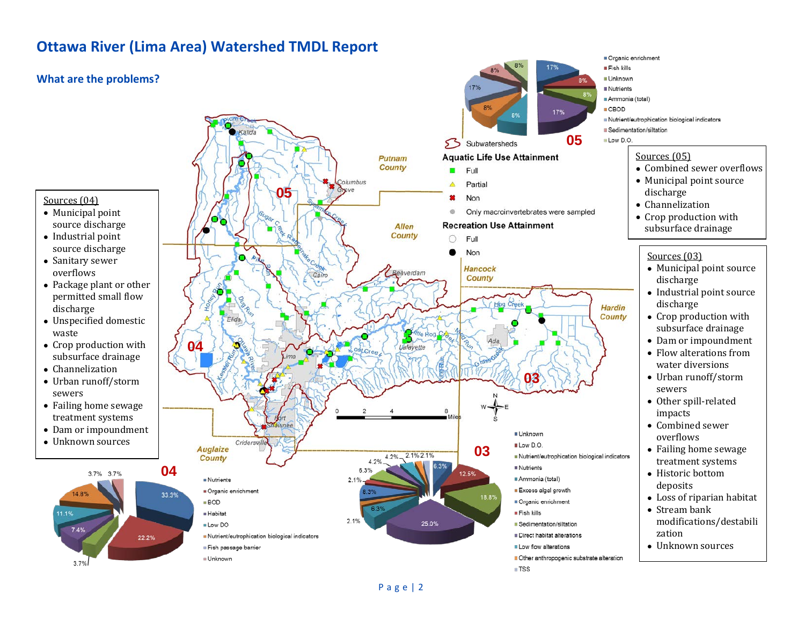# **What are the problems?**



- Municipal point source discharge
- Industrial point source discharge
- Sanitary sewer overflows
- Package plant or other permitted small flow discharge
- Unspecified domestic waste
- Crop production with subsurface drainage
- Channelization
- Urban runoff/storm sewers
- Failing home sewage treatment systems
- Dam or impoundment
- Unknown sources





Organic enrichment Fish kills **BUnknown** Ammonia (total) Nutrient/eutrophication biological indicators **B** Sedimentation/siltation

#### Sources (05)

- Combined sewer overflows
- Municipal point source discharge
- Channelization
- Crop production with subsurface drainage

# Sources (03)

- Municipal point source discharge
- Industrial point source discharge
- Crop production with subsurface drainage
- Dam or impoundment
- Flow alterations from water diversions
- Urban runoff/storm sewers
- Other spill-related impacts
- Combined sewer overflows
- Failing home sewage treatment systems
- Historic bottom deposits
- Loss of riparian habitat
- Stream bank modifications/destabili zation
- Unknown sources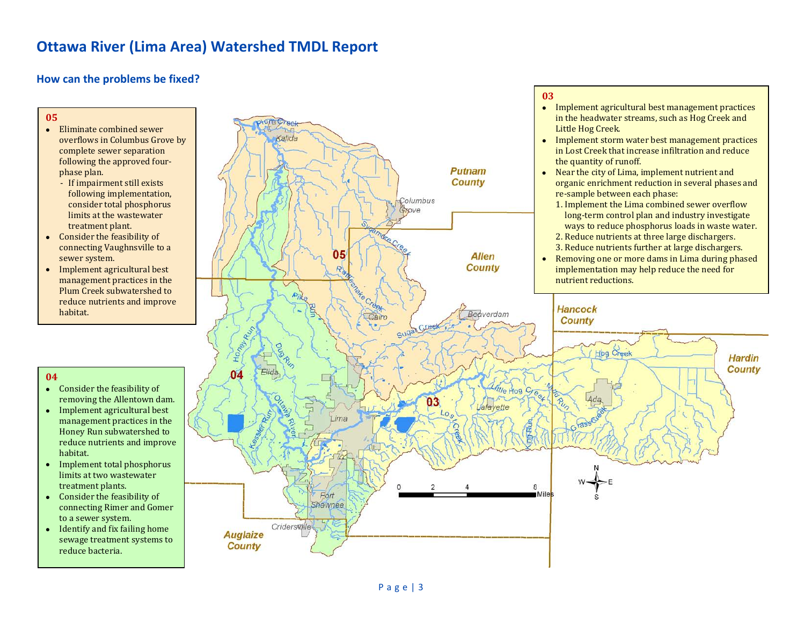# **How can the problems be fixed?**

#### **05**

- Eliminate combined sewer overflows in Columbus Grove by complete sewer separation following the approved fourphase plan.
	- If impairment still exists following implementation, consider total phosphorus limits at the wastewater treatment plant.
- Consider the feasibility of connecting Vaughnsville to a sewer system.
- Implement agricultural best management practices in the Plum Creek subwatershed to reduce nutrients and improve habitat.

# **04**

- Consider the feasibility of removing the Allentown dam.
- Implement agricultural best management practices in the Honey Run subwatershed to reduce nutrients and improve habitat.
- Implement total phosphorus limits at two wastewater treatment plants.
- Consider the feasibility of connecting Rimer and Gomer to a sewer system.
- Identify and fix failing home sewage treatment systems to reduce bacteria.